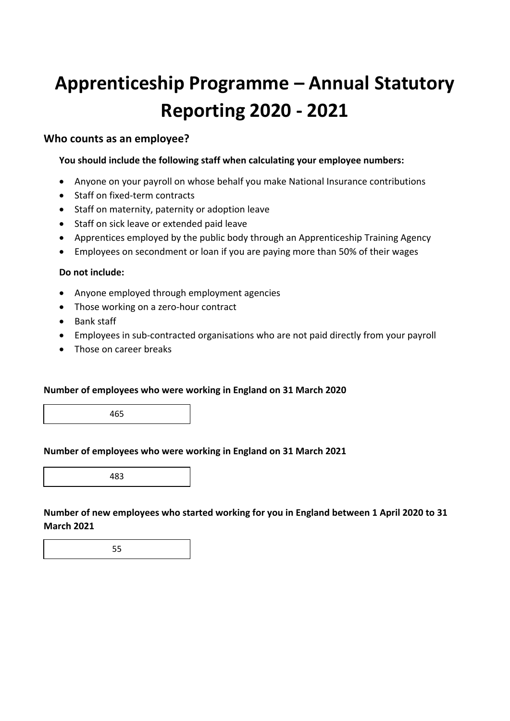# **Apprenticeship Programme – Annual Statutory Reporting 2020 ‐ 2021**

### **Who counts as an employee?**

#### **You should include the following staff when calculating your employee numbers:**

- Anyone on your payroll on whose behalf you make National Insurance contributions
- Staff on fixed-term contracts
- Staff on maternity, paternity or adoption leave
- Staff on sick leave or extended paid leave
- Apprentices employed by the public body through an Apprenticeship Training Agency
- Employees on secondment or loan if you are paying more than 50% of their wages

#### **Do not include:**

- Anyone employed through employment agencies
- Those working on a zero-hour contract
- Bank staff
- Employees in sub-contracted organisations who are not paid directly from your payroll
- Those on career breaks

#### **Number of employees who were working in England on 31 March 2020**

465

#### **Number of employees who were working in England on 31 March 2021**

483

**Number of new employees who started working for you in England between 1 April 2020 to 31 March 2021**

55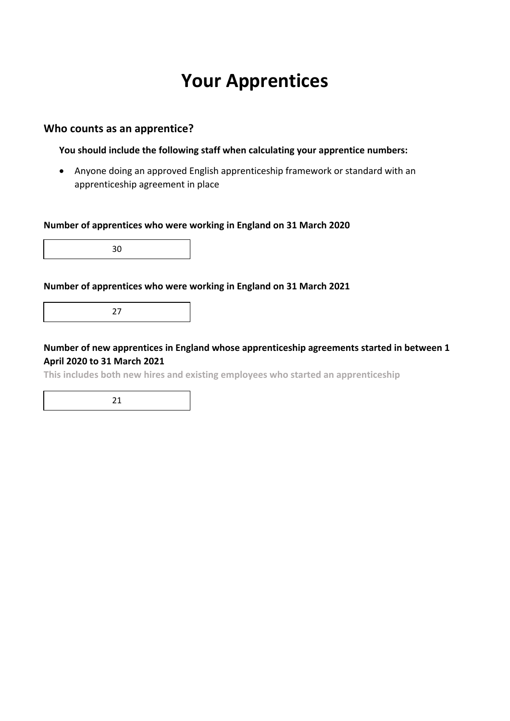### **Your Apprentices**

### **Who counts as an apprentice?**

**You should include the following staff when calculating your apprentice numbers:**

 Anyone doing an approved English apprenticeship framework or standard with an apprenticeship agreement in place

#### **Number of apprentices who were working in England on 31 March 2020**

30

#### **Number of apprentices who were working in England on 31 March 2021**

27

**Number of new apprentices in England whose apprenticeship agreements started in between 1 April 2020 to 31 March 2021**

**This includes both new hires and existing employees who started an apprenticeship**

21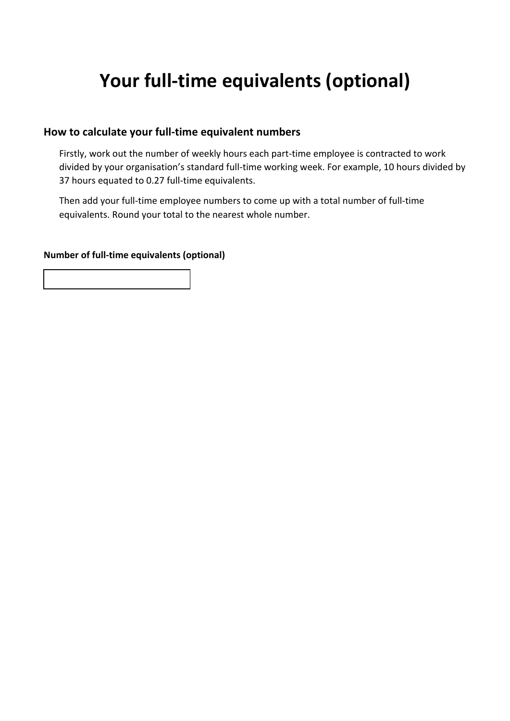## **Your full‐time equivalents (optional)**

### **How to calculate your full‐time equivalent numbers**

Firstly, work out the number of weekly hours each part-time employee is contracted to work divided by your organisation's standard full‐time working week. For example, 10 hours divided by 37 hours equated to 0.27 full-time equivalents.

Then add your full‐time employee numbers to come up with a total number of full‐time equivalents. Round your total to the nearest whole number.

#### **Number of full‐time equivalents (optional)**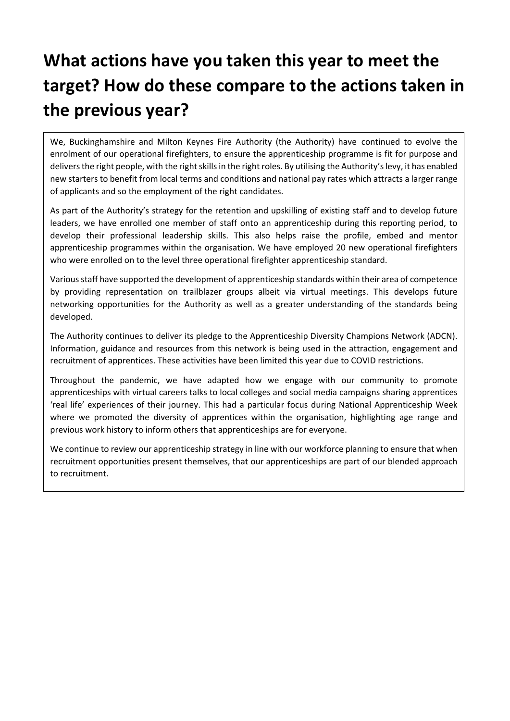# **What actions have you taken this year to meet the target? How do these compare to the actions taken in the previous year?**

We, Buckinghamshire and Milton Keynes Fire Authority (the Authority) have continued to evolve the enrolment of our operational firefighters, to ensure the apprenticeship programme is fit for purpose and delivers the right people, with the right skills in the right roles. By utilising the Authority's levy, it has enabled new starters to benefit from local terms and conditions and national pay rates which attracts a larger range of applicants and so the employment of the right candidates.

As part of the Authority's strategy for the retention and upskilling of existing staff and to develop future leaders, we have enrolled one member of staff onto an apprenticeship during this reporting period, to develop their professional leadership skills. This also helps raise the profile, embed and mentor apprenticeship programmes within the organisation. We have employed 20 new operational firefighters who were enrolled on to the level three operational firefighter apprenticeship standard.

Various staff have supported the development of apprenticeship standards within their area of competence by providing representation on trailblazer groups albeit via virtual meetings. This develops future networking opportunities for the Authority as well as a greater understanding of the standards being developed.

The Authority continues to deliver its pledge to the Apprenticeship Diversity Champions Network (ADCN). Information, guidance and resources from this network is being used in the attraction, engagement and recruitment of apprentices. These activities have been limited this year due to COVID restrictions.

Throughout the pandemic, we have adapted how we engage with our community to promote apprenticeships with virtual careers talks to local colleges and social media campaigns sharing apprentices 'real life' experiences of their journey. This had a particular focus during National Apprenticeship Week where we promoted the diversity of apprentices within the organisation, highlighting age range and previous work history to inform others that apprenticeships are for everyone.

We continue to review our apprenticeship strategy in line with our workforce planning to ensure that when recruitment opportunities present themselves, that our apprenticeships are part of our blended approach to recruitment.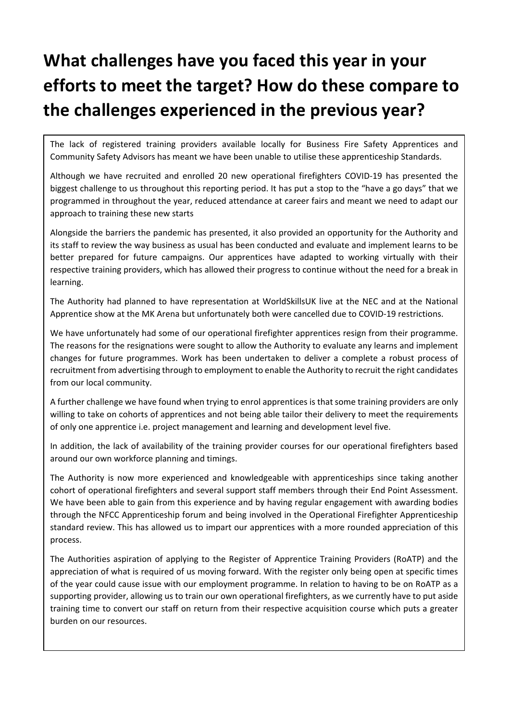# **What challenges have you faced this year in your efforts to meet the target? How do these compare to the challenges experienced in the previous year?**

The lack of registered training providers available locally for Business Fire Safety Apprentices and Community Safety Advisors has meant we have been unable to utilise these apprenticeship Standards.

Although we have recruited and enrolled 20 new operational firefighters COVID‐19 has presented the biggest challenge to us throughout this reporting period. It has put a stop to the "have a go days" that we programmed in throughout the year, reduced attendance at career fairs and meant we need to adapt our approach to training these new starts

Alongside the barriers the pandemic has presented, it also provided an opportunity for the Authority and its staff to review the way business as usual has been conducted and evaluate and implement learns to be better prepared for future campaigns. Our apprentices have adapted to working virtually with their respective training providers, which has allowed their progress to continue without the need for a break in learning.

The Authority had planned to have representation at WorldSkillsUK live at the NEC and at the National Apprentice show at the MK Arena but unfortunately both were cancelled due to COVID‐19 restrictions.

We have unfortunately had some of our operational firefighter apprentices resign from their programme. The reasons for the resignations were sought to allow the Authority to evaluate any learns and implement changes for future programmes. Work has been undertaken to deliver a complete a robust process of recruitment from advertising through to employment to enable the Authority to recruit the right candidates from our local community.

A further challenge we have found when trying to enrol apprentices is that some training providers are only willing to take on cohorts of apprentices and not being able tailor their delivery to meet the requirements of only one apprentice i.e. project management and learning and development level five.

In addition, the lack of availability of the training provider courses for our operational firefighters based around our own workforce planning and timings.

The Authority is now more experienced and knowledgeable with apprenticeships since taking another cohort of operational firefighters and several support staff members through their End Point Assessment. We have been able to gain from this experience and by having regular engagement with awarding bodies through the NFCC Apprenticeship forum and being involved in the Operational Firefighter Apprenticeship standard review. This has allowed us to impart our apprentices with a more rounded appreciation of this process.

The Authorities aspiration of applying to the Register of Apprentice Training Providers (RoATP) and the appreciation of what is required of us moving forward. With the register only being open at specific times of the year could cause issue with our employment programme. In relation to having to be on RoATP as a supporting provider, allowing us to train our own operational firefighters, as we currently have to put aside training time to convert our staff on return from their respective acquisition course which puts a greater burden on our resources.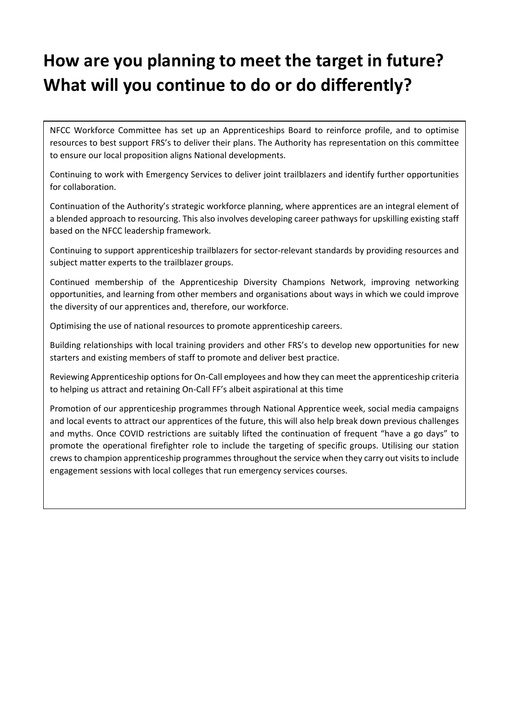### **How are you planning to meet the target in future? What will you continue to do or do differently?**

NFCC Workforce Committee has set up an Apprenticeships Board to reinforce profile, and to optimise resources to best support FRS's to deliver their plans. The Authority has representation on this committee to ensure our local proposition aligns National developments.

Continuing to work with Emergency Services to deliver joint trailblazers and identify further opportunities for collaboration.

Continuation of the Authority's strategic workforce planning, where apprentices are an integral element of a blended approach to resourcing. This also involves developing career pathways for upskilling existing staff based on the NFCC leadership framework.

Continuing to support apprenticeship trailblazers for sector‐relevant standards by providing resources and subject matter experts to the trailblazer groups.

Continued membership of the Apprenticeship Diversity Champions Network, improving networking opportunities, and learning from other members and organisations about ways in which we could improve the diversity of our apprentices and, therefore, our workforce.

Optimising the use of national resources to promote apprenticeship careers.

Building relationships with local training providers and other FRS's to develop new opportunities for new starters and existing members of staff to promote and deliver best practice.

Reviewing Apprenticeship options for On‐Call employees and how they can meet the apprenticeship criteria to helping us attract and retaining On‐Call FF's albeit aspirational at this time

Promotion of our apprenticeship programmes through National Apprentice week, social media campaigns and local events to attract our apprentices of the future, this will also help break down previous challenges and myths. Once COVID restrictions are suitably lifted the continuation of frequent "have a go days" to promote the operational firefighter role to include the targeting of specific groups. Utilising our station crewsto champion apprenticeship programmes throughout the service when they carry out visits to include engagement sessions with local colleges that run emergency services courses.